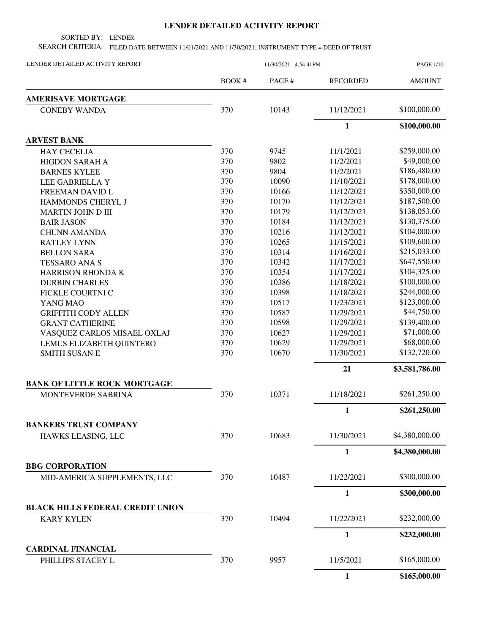## **LENDER DETAILED ACTIVITY REPORT**

SORTED BY: LENDER

SEARCH CRITERIA: FILED DATE BETWEEN 11/01/2021 AND 11/30/2021; INSTRUMENT TYPE = DEED OF TRUST

| LENDER DETAILED ACTIVITY REPORT         | 11/30/2021 4:54:41PM |        |                 | <b>PAGE 1/10</b> |  |
|-----------------------------------------|----------------------|--------|-----------------|------------------|--|
|                                         | BOOK#                | PAGE # | <b>RECORDED</b> | <b>AMOUNT</b>    |  |
| <b>AMERISAVE MORTGAGE</b>               |                      |        |                 |                  |  |
| <b>CONEBY WANDA</b>                     | 370                  | 10143  | 11/12/2021      | \$100,000.00     |  |
|                                         |                      |        | $\mathbf{1}$    | \$100,000.00     |  |
| <b>ARVEST BANK</b>                      |                      |        |                 |                  |  |
| <b>HAY CECELIA</b>                      | 370                  | 9745   | 11/1/2021       | \$259,000.00     |  |
| <b>HIGDON SARAH A</b>                   | 370                  | 9802   | 11/2/2021       | \$49,000.00      |  |
| <b>BARNES KYLEE</b>                     | 370                  | 9804   | 11/2/2021       | \$186,480.00     |  |
| LEE GABRIELLA Y                         | 370                  | 10090  | 11/10/2021      | \$178,000.00     |  |
| FREEMAN DAVID L                         | 370                  | 10166  | 11/12/2021      | \$350,000.00     |  |
| HAMMONDS CHERYL J                       | 370                  | 10170  | 11/12/2021      | \$187,500.00     |  |
| <b>MARTIN JOHN D III</b>                | 370                  | 10179  | 11/12/2021      | \$138,053.00     |  |
| <b>BAIR JASON</b>                       | 370                  | 10184  | 11/12/2021      | \$130,375.00     |  |
| <b>CHUNN AMANDA</b>                     | 370                  | 10216  | 11/12/2021      | \$104,000.00     |  |
| <b>RATLEY LYNN</b>                      | 370                  | 10265  | 11/15/2021      | \$109,600.00     |  |
| <b>BELLON SARA</b>                      | 370                  | 10314  | 11/16/2021      | \$215,033.00     |  |
| <b>TESSARO ANA S</b>                    | 370                  | 10342  | 11/17/2021      | \$647,550.00     |  |
| HARRISON RHONDA K                       | 370                  | 10354  | 11/17/2021      | \$104,325.00     |  |
| <b>DURBIN CHARLES</b>                   | 370                  | 10386  | 11/18/2021      | \$100,000.00     |  |
| FICKLE COURTNI C                        | 370                  | 10398  | 11/18/2021      | \$244,000.00     |  |
| YANG MAO                                | 370                  | 10517  | 11/23/2021      | \$123,000.00     |  |
| <b>GRIFFITH CODY ALLEN</b>              | 370                  | 10587  | 11/29/2021      | \$44,750.00      |  |
| <b>GRANT CATHERINE</b>                  | 370                  | 10598  | 11/29/2021      | \$139,400.00     |  |
| VASQUEZ CARLOS MISAEL OXLAJ             | 370                  | 10627  | 11/29/2021      | \$71,000.00      |  |
| LEMUS ELIZABETH QUINTERO                | 370                  | 10629  | 11/29/2021      | \$68,000.00      |  |
| <b>SMITH SUSAN E</b>                    | 370                  | 10670  | 11/30/2021      | \$132,720.00     |  |
|                                         |                      |        | 21              | \$3,581,786.00   |  |
| <b>BANK OF LITTLE ROCK MORTGAGE</b>     |                      |        |                 |                  |  |
| MONTEVERDE SABRINA                      | 370                  | 10371  | 11/18/2021      | \$261,250.00     |  |
|                                         |                      |        | $\mathbf{1}$    | \$261,250.00     |  |
| <b>BANKERS TRUST COMPANY</b>            |                      |        |                 |                  |  |
| HAWKS LEASING, LLC                      | 370                  | 10683  | 11/30/2021      | \$4,380,000.00   |  |
|                                         |                      |        | $\mathbf{1}$    | \$4,380,000.00   |  |
| <b>BBG CORPORATION</b>                  |                      |        |                 |                  |  |
| MID-AMERICA SUPPLEMENTS, LLC            | 370                  | 10487  | 11/22/2021      | \$300,000.00     |  |
|                                         |                      |        | $\mathbf{1}$    | \$300,000.00     |  |
| <b>BLACK HILLS FEDERAL CREDIT UNION</b> |                      |        |                 |                  |  |
| <b>KARY KYLEN</b>                       | 370                  | 10494  | 11/22/2021      | \$232,000.00     |  |
|                                         |                      |        | $\mathbf{1}$    | \$232,000.00     |  |
| <b>CARDINAL FINANCIAL</b>               |                      |        |                 |                  |  |
| PHILLIPS STACEY L                       | 370                  | 9957   | 11/5/2021       | \$165,000.00     |  |
|                                         |                      |        | $\mathbf{1}$    | \$165,000.00     |  |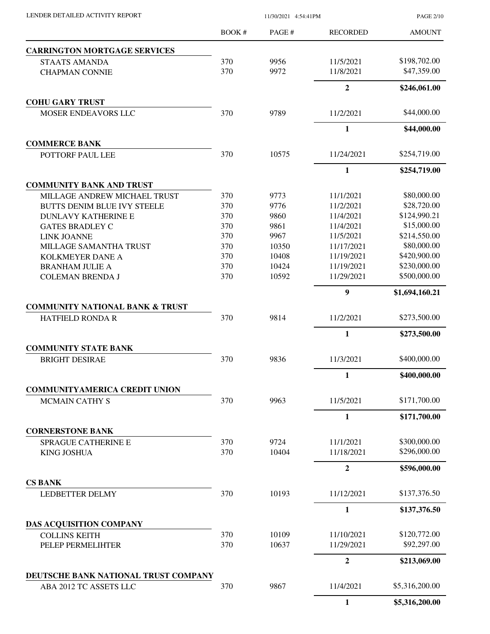| LENDER DETAILED ACTIVITY REPORT |  |
|---------------------------------|--|

LENDER DETAILED ACTIVITY REPORT 11/30/2021 4:54:41PM

PAGE 2/10

|                                            | BOOK# | PAGE# | <b>RECORDED</b>  | <b>AMOUNT</b>  |
|--------------------------------------------|-------|-------|------------------|----------------|
| <b>CARRINGTON MORTGAGE SERVICES</b>        |       |       |                  |                |
| <b>STAATS AMANDA</b>                       | 370   | 9956  | 11/5/2021        | \$198,702.00   |
| <b>CHAPMAN CONNIE</b>                      | 370   | 9972  | 11/8/2021        | \$47,359.00    |
|                                            |       |       | $\boldsymbol{2}$ | \$246,061.00   |
| <b>COHU GARY TRUST</b>                     |       |       |                  |                |
| <b>MOSER ENDEAVORS LLC</b>                 | 370   | 9789  | 11/2/2021        | \$44,000.00    |
|                                            |       |       | $\mathbf{1}$     | \$44,000.00    |
| <b>COMMERCE BANK</b>                       |       |       |                  |                |
| POTTORF PAUL LEE                           | 370   | 10575 | 11/24/2021       | \$254,719.00   |
|                                            |       |       | $\mathbf{1}$     | \$254,719.00   |
| <b>COMMUNITY BANK AND TRUST</b>            |       |       |                  |                |
| MILLAGE ANDREW MICHAEL TRUST               | 370   | 9773  | 11/1/2021        | \$80,000.00    |
| <b>BUTTS DENIM BLUE IVY STEELE</b>         | 370   | 9776  | 11/2/2021        | \$28,720.00    |
| <b>DUNLAVY KATHERINE E</b>                 | 370   | 9860  | 11/4/2021        | \$124,990.21   |
| <b>GATES BRADLEY C</b>                     | 370   | 9861  | 11/4/2021        | \$15,000.00    |
| <b>LINK JOANNE</b>                         | 370   | 9967  | 11/5/2021        | \$214,550.00   |
| MILLAGE SAMANTHA TRUST                     | 370   | 10350 | 11/17/2021       | \$80,000.00    |
| KOLKMEYER DANE A                           | 370   | 10408 | 11/19/2021       | \$420,900.00   |
| <b>BRANHAM JULIE A</b>                     | 370   | 10424 | 11/19/2021       | \$230,000.00   |
| <b>COLEMAN BRENDA J</b>                    | 370   | 10592 | 11/29/2021       | \$500,000.00   |
|                                            |       |       | $\boldsymbol{9}$ | \$1,694,160.21 |
| <b>COMMUNITY NATIONAL BANK &amp; TRUST</b> |       |       |                  |                |
| <b>HATFIELD RONDA R</b>                    | 370   | 9814  | 11/2/2021        | \$273,500.00   |
|                                            |       |       | $\mathbf{1}$     | \$273,500.00   |
| <b>COMMUNITY STATE BANK</b>                |       |       |                  |                |
| <b>BRIGHT DESIRAE</b>                      | 370   | 9836  | 11/3/2021        | \$400,000.00   |
|                                            |       |       | $\mathbf{1}$     | \$400,000.00   |
| <b>COMMUNITYAMERICA CREDIT UNION</b>       |       |       |                  |                |
| <b>MCMAIN CATHY S</b>                      | 370   | 9963  | 11/5/2021        | \$171,700.00   |
|                                            |       |       | $\mathbf{1}$     | \$171,700.00   |
| <b>CORNERSTONE BANK</b>                    |       |       |                  |                |
| <b>SPRAGUE CATHERINE E</b>                 | 370   | 9724  | 11/1/2021        | \$300,000.00   |
| <b>KING JOSHUA</b>                         | 370   | 10404 | 11/18/2021       | \$296,000.00   |
|                                            |       |       | $\overline{2}$   | \$596,000.00   |
| <b>CS BANK</b>                             |       |       |                  |                |
| <b>LEDBETTER DELMY</b>                     | 370   | 10193 | 11/12/2021       | \$137,376.50   |
|                                            |       |       | 1                | \$137,376.50   |
| <b>DAS ACQUISITION COMPANY</b>             |       |       |                  |                |
| <b>COLLINS KEITH</b>                       | 370   | 10109 | 11/10/2021       | \$120,772.00   |
| PELEP PERMELIHTER                          | 370   | 10637 | 11/29/2021       | \$92,297.00    |
|                                            |       |       | $\boldsymbol{2}$ | \$213,069.00   |
| DEUTSCHE BANK NATIONAL TRUST COMPANY       |       |       |                  |                |
| ABA 2012 TC ASSETS LLC                     | 370   | 9867  | 11/4/2021        | \$5,316,200.00 |
|                                            |       |       | $\mathbf{1}$     | \$5,316,200.00 |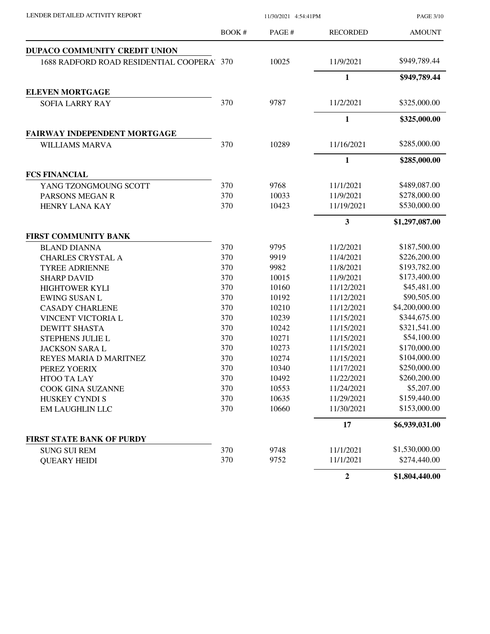| LENDER DETAILED ACTIVITY REPORT           | 11/30/2021 4:54:41PM |       |                  | <b>PAGE 3/10</b> |  |
|-------------------------------------------|----------------------|-------|------------------|------------------|--|
|                                           | BOOK #               | PAGE# | <b>RECORDED</b>  | <b>AMOUNT</b>    |  |
| <b>DUPACO COMMUNITY CREDIT UNION</b>      |                      |       |                  |                  |  |
| 1688 RADFORD ROAD RESIDENTIAL COOPERA 370 |                      | 10025 | 11/9/2021        | \$949,789.44     |  |
|                                           |                      |       | $\mathbf{1}$     | \$949,789.44     |  |
| <b>ELEVEN MORTGAGE</b>                    |                      |       |                  |                  |  |
| <b>SOFIA LARRY RAY</b>                    | 370                  | 9787  | 11/2/2021        | \$325,000.00     |  |
|                                           |                      |       | $\mathbf{1}$     | \$325,000.00     |  |
| <b>FAIRWAY INDEPENDENT MORTGAGE</b>       |                      |       |                  |                  |  |
| WILLIAMS MARVA                            | 370                  | 10289 | 11/16/2021       | \$285,000.00     |  |
|                                           |                      |       | $\mathbf{1}$     | \$285,000.00     |  |
| <b>FCS FINANCIAL</b>                      |                      |       |                  |                  |  |
| YANG TZONGMOUNG SCOTT                     | 370                  | 9768  | 11/1/2021        | \$489,087.00     |  |
| PARSONS MEGAN R                           | 370                  | 10033 | 11/9/2021        | \$278,000.00     |  |
| HENRY LANA KAY                            | 370                  | 10423 | 11/19/2021       | \$530,000.00     |  |
|                                           |                      |       | $\mathbf{3}$     | \$1,297,087.00   |  |
| FIRST COMMUNITY BANK                      |                      |       |                  |                  |  |
| <b>BLAND DIANNA</b>                       | 370                  | 9795  | 11/2/2021        | \$187,500.00     |  |
| <b>CHARLES CRYSTAL A</b>                  | 370                  | 9919  | 11/4/2021        | \$226,200.00     |  |
| <b>TYREE ADRIENNE</b>                     | 370                  | 9982  | 11/8/2021        | \$193,782.00     |  |
| <b>SHARP DAVID</b>                        | 370                  | 10015 | 11/9/2021        | \$173,400.00     |  |
| <b>HIGHTOWER KYLI</b>                     | 370                  | 10160 | 11/12/2021       | \$45,481.00      |  |
| <b>EWING SUSAN L</b>                      | 370                  | 10192 | 11/12/2021       | \$90,505.00      |  |
| <b>CASADY CHARLENE</b>                    | 370                  | 10210 | 11/12/2021       | \$4,200,000.00   |  |
| VINCENT VICTORIA L                        | 370                  | 10239 | 11/15/2021       | \$344,675.00     |  |
| <b>DEWITT SHASTA</b>                      | 370                  | 10242 | 11/15/2021       | \$321,541.00     |  |
| STEPHENS JULIE L                          | 370                  | 10271 | 11/15/2021       | \$54,100.00      |  |
| <b>JACKSON SARA L</b>                     | 370                  | 10273 | 11/15/2021       | \$170,000.00     |  |
| REYES MARIA D MARITNEZ                    | 370                  | 10274 | 11/15/2021       | \$104,000.00     |  |
| PEREZ YOERIX                              | 370                  | 10340 | 11/17/2021       | \$250,000.00     |  |
| <b>HTOO TA LAY</b>                        | 370                  | 10492 | 11/22/2021       | \$260,200.00     |  |
| <b>COOK GINA SUZANNE</b>                  | 370                  | 10553 | 11/24/2021       | \$5,207.00       |  |
| HUSKEY CYNDI S                            | 370                  | 10635 | 11/29/2021       | \$159,440.00     |  |
| EM LAUGHLIN LLC                           | 370                  | 10660 | 11/30/2021       | \$153,000.00     |  |
|                                           |                      |       | 17               | \$6,939,031.00   |  |
| FIRST STATE BANK OF PURDY                 |                      |       |                  |                  |  |
| <b>SUNG SUI REM</b>                       | 370                  | 9748  | 11/1/2021        | \$1,530,000.00   |  |
| <b>QUEARY HEIDI</b>                       | 370                  | 9752  | 11/1/2021        | \$274,440.00     |  |
|                                           |                      |       | $\boldsymbol{2}$ | \$1,804,440.00   |  |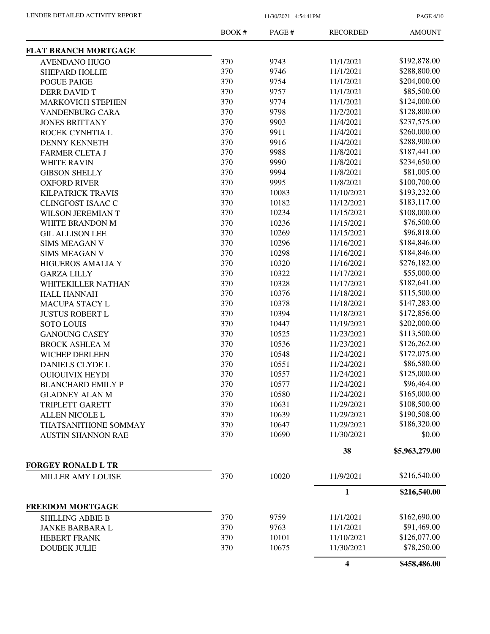PAGE 4/10

|                                             | BOOK# | PAGE # | <b>RECORDED</b>         | <b>AMOUNT</b>  |
|---------------------------------------------|-------|--------|-------------------------|----------------|
| <b>FLAT BRANCH MORTGAGE</b>                 |       |        |                         |                |
| <b>AVENDANO HUGO</b>                        | 370   | 9743   | 11/1/2021               | \$192,878.00   |
| <b>SHEPARD HOLLIE</b>                       | 370   | 9746   | 11/1/2021               | \$288,800.00   |
| POGUE PAIGE                                 | 370   | 9754   | 11/1/2021               | \$204,000.00   |
| DERR DAVID T                                | 370   | 9757   | 11/1/2021               | \$85,500.00    |
| <b>MARKOVICH STEPHEN</b>                    | 370   | 9774   | 11/1/2021               | \$124,000.00   |
| VANDENBURG CARA                             | 370   | 9798   | 11/2/2021               | \$128,800.00   |
| <b>JONES BRITTANY</b>                       | 370   | 9903   | 11/4/2021               | \$237,575.00   |
| ROCEK CYNHTIA L                             | 370   | 9911   | 11/4/2021               | \$260,000.00   |
| <b>DENNY KENNETH</b>                        | 370   | 9916   | 11/4/2021               | \$288,900.00   |
| <b>FARMER CLETA J</b>                       | 370   | 9988   | 11/8/2021               | \$187,441.00   |
| <b>WHITE RAVIN</b>                          | 370   | 9990   | 11/8/2021               | \$234,650.00   |
| <b>GIBSON SHELLY</b>                        | 370   | 9994   | 11/8/2021               | \$81,005.00    |
| <b>OXFORD RIVER</b>                         | 370   | 9995   | 11/8/2021               | \$100,700.00   |
| <b>KILPATRICK TRAVIS</b>                    | 370   | 10083  | 11/10/2021              | \$193,232.00   |
| <b>CLINGFOST ISAAC C</b>                    | 370   | 10182  | 11/12/2021              | \$183,117.00   |
|                                             | 370   | 10234  | 11/15/2021              | \$108,000.00   |
| <b>WILSON JEREMIAN T</b><br>WHITE BRANDON M | 370   | 10236  | 11/15/2021              | \$76,500.00    |
|                                             | 370   | 10269  | 11/15/2021              | \$96,818.00    |
| <b>GIL ALLISON LEE</b>                      | 370   |        | 11/16/2021              | \$184,846.00   |
| <b>SIMS MEAGAN V</b>                        | 370   | 10296  |                         |                |
| <b>SIMS MEAGAN V</b>                        |       | 10298  | 11/16/2021              | \$184,846.00   |
| <b>HIGUEROS AMALIA Y</b>                    | 370   | 10320  | 11/16/2021              | \$276,182.00   |
| <b>GARZA LILLY</b>                          | 370   | 10322  | 11/17/2021              | \$55,000.00    |
| WHITEKILLER NATHAN                          | 370   | 10328  | 11/17/2021              | \$182,641.00   |
| <b>HALL HANNAH</b>                          | 370   | 10376  | 11/18/2021              | \$115,500.00   |
| MACUPA STACY L                              | 370   | 10378  | 11/18/2021              | \$147,283.00   |
| <b>JUSTUS ROBERT L</b>                      | 370   | 10394  | 11/18/2021              | \$172,856.00   |
| <b>SOTO LOUIS</b>                           | 370   | 10447  | 11/19/2021              | \$202,000.00   |
| <b>GANOUNG CASEY</b>                        | 370   | 10525  | 11/23/2021              | \$113,500.00   |
| <b>BROCK ASHLEA M</b>                       | 370   | 10536  | 11/23/2021              | \$126,262.00   |
| <b>WICHEP DERLEEN</b>                       | 370   | 10548  | 11/24/2021              | \$172,075.00   |
| <b>DANIELS CLYDE L</b>                      | 370   | 10551  | 11/24/2021              | \$86,580.00    |
| <b>QUIQUIVIX HEYDI</b>                      | 370   | 10557  | 11/24/2021              | \$125,000.00   |
| <b>BLANCHARD EMILY P</b>                    | 370   | 10577  | 11/24/2021              | \$96,464.00    |
| <b>GLADNEY ALAN M</b>                       | 370   | 10580  | 11/24/2021              | \$165,000.00   |
| TRIPLETT GARETT                             | 370   | 10631  | 11/29/2021              | \$108,500.00   |
| <b>ALLEN NICOLE L</b>                       | 370   | 10639  | 11/29/2021              | \$190,508.00   |
| THATSANITHONE SOMMAY                        | 370   | 10647  | 11/29/2021              | \$186,320.00   |
| <b>AUSTIN SHANNON RAE</b>                   | 370   | 10690  | 11/30/2021              | \$0.00         |
|                                             |       |        | 38                      | \$5,963,279.00 |
| <b>FORGEY RONALD L TR</b>                   |       |        |                         |                |
| MILLER AMY LOUISE                           | 370   | 10020  | 11/9/2021               | \$216,540.00   |
|                                             |       |        | 1                       | \$216,540.00   |
| <b>FREEDOM MORTGAGE</b>                     |       |        |                         |                |
| <b>SHILLING ABBIE B</b>                     | 370   | 9759   | 11/1/2021               | \$162,690.00   |
| <b>JANKE BARBARA L</b>                      | 370   | 9763   | 11/1/2021               | \$91,469.00    |
| <b>HEBERT FRANK</b>                         | 370   | 10101  | 11/10/2021              | \$126,077.00   |
| <b>DOUBEK JULIE</b>                         | 370   | 10675  | 11/30/2021              | \$78,250.00    |
|                                             |       |        | $\overline{\mathbf{4}}$ | \$458,486.00   |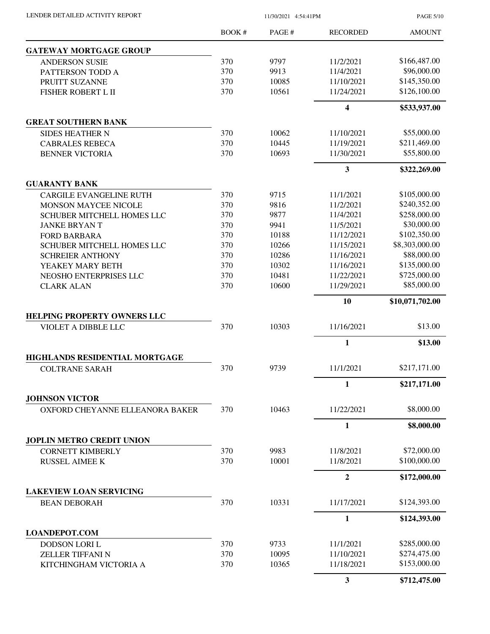LENDER DETAILED ACTIVITY REPORT 11/30/2021 4:54:41PM

PAGE 5/10

|                                                              | BOOK#      | PAGE#         | <b>RECORDED</b>         | <b>AMOUNT</b>               |
|--------------------------------------------------------------|------------|---------------|-------------------------|-----------------------------|
| <b>GATEWAY MORTGAGE GROUP</b>                                |            |               |                         |                             |
| <b>ANDERSON SUSIE</b>                                        | 370        | 9797          | 11/2/2021               | \$166,487.00                |
| PATTERSON TODD A                                             | 370        | 9913          | 11/4/2021               | \$96,000.00                 |
| PRUITT SUZANNE                                               | 370        | 10085         | 11/10/2021              | \$145,350.00                |
| FISHER ROBERT L II                                           | 370        | 10561         | 11/24/2021              | \$126,100.00                |
|                                                              |            |               | $\overline{\mathbf{4}}$ | \$533,937.00                |
| <b>GREAT SOUTHERN BANK</b>                                   |            |               |                         |                             |
| <b>SIDES HEATHER N</b>                                       | 370        | 10062         | 11/10/2021              | \$55,000.00                 |
| <b>CABRALES REBECA</b>                                       | 370        | 10445         | 11/19/2021              | \$211,469.00                |
| <b>BENNER VICTORIA</b>                                       | 370        | 10693         | 11/30/2021              | \$55,800.00                 |
|                                                              |            |               | 3                       | \$322,269.00                |
| <b>GUARANTY BANK</b>                                         |            |               |                         |                             |
| <b>CARGILE EVANGELINE RUTH</b>                               | 370        | 9715          | 11/1/2021               | \$105,000.00                |
| <b>MONSON MAYCEE NICOLE</b>                                  | 370        | 9816<br>9877  | 11/2/2021               | \$240,352.00                |
| SCHUBER MITCHELL HOMES LLC                                   | 370        |               | 11/4/2021<br>11/5/2021  | \$258,000.00<br>\$30,000.00 |
| <b>JANKE BRYANT</b>                                          | 370<br>370 | 9941<br>10188 | 11/12/2021              | \$102,350.00                |
| <b>FORD BARBARA</b>                                          | 370        | 10266         | 11/15/2021              | \$8,303,000.00              |
| <b>SCHUBER MITCHELL HOMES LLC</b><br><b>SCHREIER ANTHONY</b> | 370        | 10286         | 11/16/2021              | \$88,000.00                 |
| YEAKEY MARY BETH                                             | 370        | 10302         | 11/16/2021              | \$135,000.00                |
| NEOSHO ENTERPRISES LLC                                       | 370        | 10481         | 11/22/2021              | \$725,000.00                |
| <b>CLARK ALAN</b>                                            | 370        | 10600         | 11/29/2021              | \$85,000.00                 |
|                                                              |            |               | 10                      |                             |
| <b>HELPING PROPERTY OWNERS LLC</b>                           |            |               |                         | \$10,071,702.00             |
| VIOLET A DIBBLE LLC                                          | 370        | 10303         | 11/16/2021              | \$13.00                     |
|                                                              |            |               | 1                       | \$13.00                     |
| HIGHLANDS RESIDENTIAL MORTGAGE                               |            |               |                         |                             |
| <b>COLTRANE SARAH</b>                                        | 370        | 9739          | 11/1/2021               | \$217,171.00                |
|                                                              |            |               | 1                       | \$217,171.00                |
| <b>JOHNSON VICTOR</b>                                        |            |               |                         |                             |
| OXFORD CHEYANNE ELLEANORA BAKER                              | 370        | 10463         | 11/22/2021              | \$8,000.00                  |
|                                                              |            |               | 1                       | \$8,000.00                  |
| <b>JOPLIN METRO CREDIT UNION</b>                             |            |               | 11/8/2021               | \$72,000.00                 |
| <b>CORNETT KIMBERLY</b>                                      | 370        | 9983<br>10001 | 11/8/2021               | \$100,000.00                |
| <b>RUSSEL AIMEE K</b>                                        | 370        |               |                         |                             |
|                                                              |            |               | $\overline{2}$          | \$172,000.00                |
| <b>LAKEVIEW LOAN SERVICING</b><br><b>BEAN DEBORAH</b>        | 370        | 10331         | 11/17/2021              | \$124,393.00                |
|                                                              |            |               | 1                       | \$124,393.00                |
| <b>LOANDEPOT.COM</b>                                         |            |               |                         |                             |
| DODSON LORI L                                                | 370        | 9733          | 11/1/2021               | \$285,000.00                |
| <b>ZELLER TIFFANI N</b>                                      | 370        | 10095         | 11/10/2021              | \$274,475.00                |
| KITCHINGHAM VICTORIA A                                       | 370        | 10365         | 11/18/2021              | \$153,000.00                |
|                                                              |            |               | $\mathbf{3}$            | \$712,475.00                |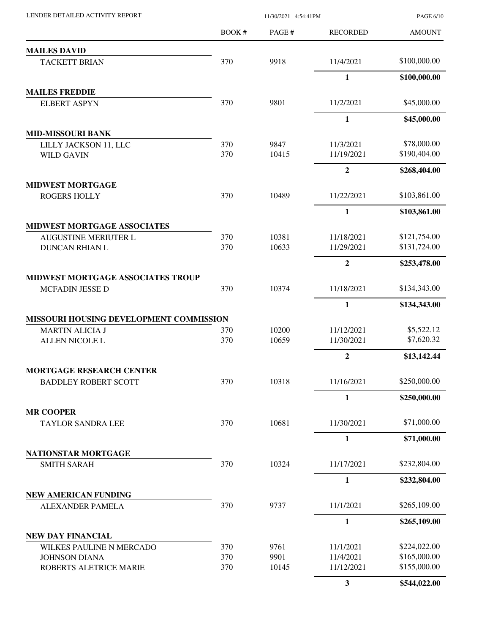BOOK # PAGE # AMOUNT RECORDED **MAILES DAVID** TACKETT BRIAN 370 9918 11/4/2021 \$100,000.00 **1 \$100,000.00 MAILES FREDDIE** ELBERT ASPYN 370 9801 11/2/2021 \$45,000.00 **1 \$45,000.00 MID-MISSOURI BANK** LILLY JACKSON 11, LLC 370 9847 11/3/2021 \$78,000.00 WILD GAVIN 370 10415 11/19/2021 \$190,404.00 **2 \$268,404.00 MIDWEST MORTGAGE** ROGERS HOLLY 370 10489 11/22/2021 \$103,861.00 **1 \$103,861.00 MIDWEST MORTGAGE ASSOCIATES** AUGUSTINE MERIUTER L 370 10381 11/18/2021 \$121,754.00 DUNCAN RHIAN L 370 10633 11/29/2021 \$131,724.00 **2 \$253,478.00 MIDWEST MORTGAGE ASSOCIATES TROUP** MCFADIN JESSE D 370 10374 11/18/2021 \$134,343.00 **1 \$134,343.00 MISSOURI HOUSING DEVELOPMENT COMMISSION** MARTIN ALICIA J 370 10200 11/12/2021 \$5,522.12 ALLEN NICOLE L 370 10659 11/30/2021 \$7,620.32 **2 \$13,142.44 MORTGAGE RESEARCH CENTER** BADDLEY ROBERT SCOTT 370 10318 11/16/2021 \$250,000.00 **1 \$250,000.00 MR COOPER** TAYLOR SANDRA LEE 370 10681 11/30/2021 \$71,000.00 **1 \$71,000.00 NATIONSTAR MORTGAGE** SMITH SARAH 370 10324 11/17/2021 \$232,804.00 **1 \$232,804.00 NEW AMERICAN FUNDING** ALEXANDER PAMELA 370 9737 11/1/2021 \$265,109.00 **1 \$265,109.00 NEW DAY FINANCIAL** WILKES PAULINE N MERCADO 370 9761 11/1/2021 \$224,022.00 JOHNSON DIANA 370 9901 11/4/2021 \$165,000.00 ROBERTS ALETRICE MARIE 370 10145 11/12/2021 \$155,000.00 **3 \$544,022.00**

LENDER DETAILED ACTIVITY REPORT 11/30/2021 4:54:41PM

PAGE 6/10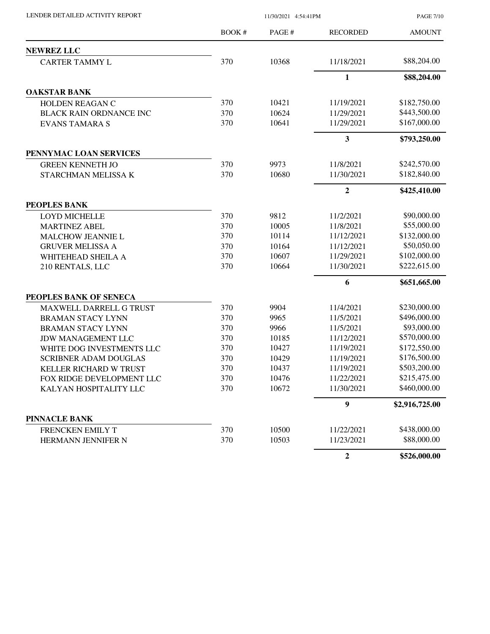| LENDER DETAILED ACTIVITY REPORT | 11/30/2021 4:54:41PM |        |                  | <b>PAGE 7/10</b> |
|---------------------------------|----------------------|--------|------------------|------------------|
|                                 | BOOK #               | PAGE # | <b>RECORDED</b>  | <b>AMOUNT</b>    |
| <b>NEWREZ LLC</b>               |                      |        |                  |                  |
| <b>CARTER TAMMY L</b>           | 370                  | 10368  | 11/18/2021       | \$88,204.00      |
|                                 |                      |        | $\mathbf{1}$     | \$88,204.00      |
| <b>OAKSTAR BANK</b>             |                      |        |                  |                  |
| HOLDEN REAGAN C                 | 370                  | 10421  | 11/19/2021       | \$182,750.00     |
| BLACK RAIN ORDNANCE INC         | 370                  | 10624  | 11/29/2021       | \$443,500.00     |
| <b>EVANS TAMARA S</b>           | 370                  | 10641  | 11/29/2021       | \$167,000.00     |
|                                 |                      |        | 3                | \$793,250.00     |
| PENNYMAC LOAN SERVICES          |                      |        |                  |                  |
| <b>GREEN KENNETH JO</b>         | 370                  | 9973   | 11/8/2021        | \$242,570.00     |
| STARCHMAN MELISSA K             | 370                  | 10680  | 11/30/2021       | \$182,840.00     |
|                                 |                      |        | $\boldsymbol{2}$ | \$425,410.00     |
| <b>PEOPLES BANK</b>             |                      |        |                  |                  |
| <b>LOYD MICHELLE</b>            | 370                  | 9812   | 11/2/2021        | \$90,000.00      |
| <b>MARTINEZ ABEL</b>            | 370                  | 10005  | 11/8/2021        | \$55,000.00      |
| MALCHOW JEANNIE L               | 370                  | 10114  | 11/12/2021       | \$132,000.00     |
| <b>GRUVER MELISSA A</b>         | 370                  | 10164  | 11/12/2021       | \$50,050.00      |
| WHITEHEAD SHEILA A              | 370                  | 10607  | 11/29/2021       | \$102,000.00     |
| 210 RENTALS, LLC                | 370                  | 10664  | 11/30/2021       | \$222,615.00     |
|                                 |                      |        | 6                | \$651,665.00     |
| PEOPLES BANK OF SENECA          |                      |        |                  |                  |
| <b>MAXWELL DARRELL G TRUST</b>  | 370                  | 9904   | 11/4/2021        | \$230,000.00     |
| <b>BRAMAN STACY LYNN</b>        | 370                  | 9965   | 11/5/2021        | \$496,000.00     |
| <b>BRAMAN STACY LYNN</b>        | 370                  | 9966   | 11/5/2021        | \$93,000.00      |
| <b>JDW MANAGEMENT LLC</b>       | 370                  | 10185  | 11/12/2021       | \$570,000.00     |
| WHITE DOG INVESTMENTS LLC       | 370                  | 10427  | 11/19/2021       | \$172,550.00     |
| <b>SCRIBNER ADAM DOUGLAS</b>    | 370                  | 10429  | 11/19/2021       | \$176,500.00     |
| KELLER RICHARD W TRUST          | 370                  | 10437  | 11/19/2021       | \$503,200.00     |
| FOX RIDGE DEVELOPMENT LLC       | 370                  | 10476  | 11/22/2021       | \$215,475.00     |
| KALYAN HOSPITALITY LLC          | 370                  | 10672  | 11/30/2021       | \$460,000.00     |
|                                 |                      |        | 9                | \$2,916,725.00   |
| PINNACLE BANK                   |                      |        |                  |                  |
| FRENCKEN EMILY T                | 370                  | 10500  | 11/22/2021       | \$438,000.00     |
| HERMANN JENNIFER N              | 370                  | 10503  | 11/23/2021       | \$88,000.00      |
|                                 |                      |        | $\overline{2}$   | \$526,000.00     |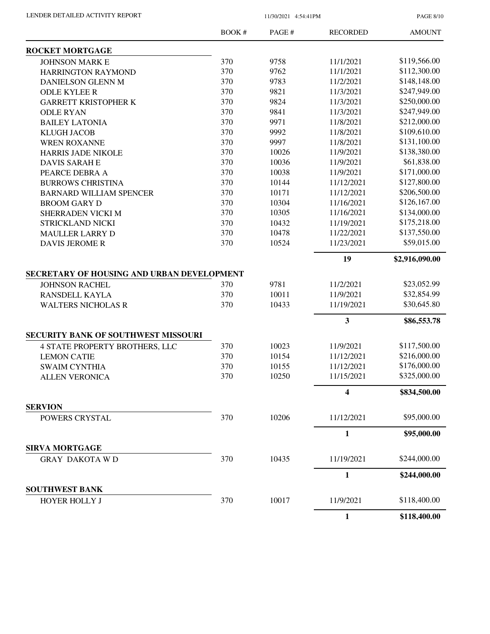PAGE 8/10

|                                            | BOOK# | PAGE# | <b>RECORDED</b> | <b>AMOUNT</b>  |
|--------------------------------------------|-------|-------|-----------------|----------------|
| <b>ROCKET MORTGAGE</b>                     |       |       |                 |                |
| <b>JOHNSON MARK E</b>                      | 370   | 9758  | 11/1/2021       | \$119,566.00   |
| HARRINGTON RAYMOND                         | 370   | 9762  | 11/1/2021       | \$112,300.00   |
| DANIELSON GLENN M                          | 370   | 9783  | 11/2/2021       | \$148,148.00   |
| <b>ODLE KYLEE R</b>                        | 370   | 9821  | 11/3/2021       | \$247,949.00   |
| <b>GARRETT KRISTOPHER K</b>                | 370   | 9824  | 11/3/2021       | \$250,000.00   |
| <b>ODLE RYAN</b>                           | 370   | 9841  | 11/3/2021       | \$247,949.00   |
| <b>BAILEY LATONIA</b>                      | 370   | 9971  | 11/8/2021       | \$212,000.00   |
| <b>KLUGH JACOB</b>                         | 370   | 9992  | 11/8/2021       | \$109,610.00   |
| <b>WREN ROXANNE</b>                        | 370   | 9997  | 11/8/2021       | \$131,100.00   |
| <b>HARRIS JADE NIKOLE</b>                  | 370   | 10026 | 11/9/2021       | \$138,380.00   |
| <b>DAVIS SARAH E</b>                       | 370   | 10036 | 11/9/2021       | \$61,838.00    |
| PEARCE DEBRA A                             | 370   | 10038 | 11/9/2021       | \$171,000.00   |
| <b>BURROWS CHRISTINA</b>                   | 370   | 10144 | 11/12/2021      | \$127,800.00   |
| <b>BARNARD WILLIAM SPENCER</b>             | 370   | 10171 | 11/12/2021      | \$206,500.00   |
| <b>BROOM GARY D</b>                        | 370   | 10304 | 11/16/2021      | \$126,167.00   |
| SHERRADEN VICKI M                          | 370   | 10305 | 11/16/2021      | \$134,000.00   |
| STRICKLAND NICKI                           | 370   | 10432 | 11/19/2021      | \$175,218.00   |
| <b>MAULLER LARRY D</b>                     | 370   | 10478 | 11/22/2021      | \$137,550.00   |
| <b>DAVIS JEROME R</b>                      | 370   | 10524 | 11/23/2021      | \$59,015.00    |
|                                            |       |       | 19              | \$2,916,090.00 |
| SECRETARY OF HOUSING AND URBAN DEVELOPMENT |       |       |                 |                |
| <b>JOHNSON RACHEL</b>                      | 370   | 9781  | 11/2/2021       | \$23,052.99    |
| RANSDELL KAYLA                             | 370   | 10011 | 11/9/2021       | \$32,854.99    |
| <b>WALTERS NICHOLAS R</b>                  | 370   | 10433 | 11/19/2021      | \$30,645.80    |
|                                            |       |       | 3               | \$86,553.78    |
| <b>SECURITY BANK OF SOUTHWEST MISSOURI</b> |       |       |                 |                |
| <b>4 STATE PROPERTY BROTHERS, LLC</b>      | 370   | 10023 | 11/9/2021       | \$117,500.00   |
| <b>LEMON CATIE</b>                         | 370   | 10154 | 11/12/2021      | \$216,000.00   |
| <b>SWAIM CYNTHIA</b>                       | 370   | 10155 | 11/12/2021      | \$176,000.00   |
| <b>ALLEN VERONICA</b>                      | 370   | 10250 | 11/15/2021      | \$325,000.00   |
|                                            |       |       | 4               | \$834,500.00   |
| <b>SERVION</b>                             |       |       |                 |                |
| POWERS CRYSTAL                             | 370   | 10206 | 11/12/2021      | \$95,000.00    |
|                                            |       |       | $\mathbf{1}$    | \$95,000.00    |
| <b>SIRVA MORTGAGE</b>                      |       |       |                 |                |
| <b>GRAY DAKOTA WD</b>                      | 370   | 10435 | 11/19/2021      | \$244,000.00   |
|                                            |       |       | 1               | \$244,000.00   |
| <b>SOUTHWEST BANK</b>                      |       |       |                 |                |
| <b>HOYER HOLLY J</b>                       | 370   | 10017 | 11/9/2021       | \$118,400.00   |
|                                            |       |       | $\mathbf{1}$    | \$118,400.00   |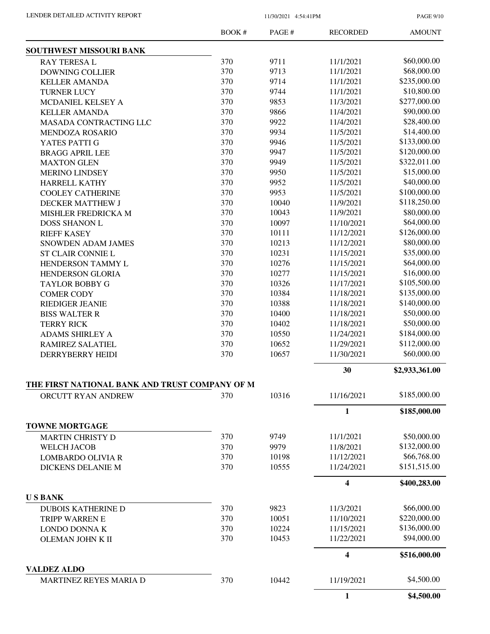PAGE 9/10

|                                                  | BOOK # | PAGE# | <b>RECORDED</b> | <b>AMOUNT</b>  |
|--------------------------------------------------|--------|-------|-----------------|----------------|
| <b>SOUTHWEST MISSOURI BANK</b>                   |        |       |                 |                |
| <b>RAY TERESAL</b>                               | 370    | 9711  | 11/1/2021       | \$60,000.00    |
| <b>DOWNING COLLIER</b>                           | 370    | 9713  | 11/1/2021       | \$68,000.00    |
| <b>KELLER AMANDA</b>                             | 370    | 9714  | 11/1/2021       | \$235,000.00   |
| <b>TURNER LUCY</b>                               | 370    | 9744  | 11/1/2021       | \$10,800.00    |
| MCDANIEL KELSEY A                                | 370    | 9853  | 11/3/2021       | \$277,000.00   |
| <b>KELLER AMANDA</b>                             | 370    | 9866  | 11/4/2021       | \$90,000.00    |
| <b>MASADA CONTRACTING LLC</b>                    | 370    | 9922  | 11/4/2021       | \$28,400.00    |
| MENDOZA ROSARIO                                  | 370    | 9934  | 11/5/2021       | \$14,400.00    |
| YATES PATTI G                                    | 370    | 9946  | 11/5/2021       | \$133,000.00   |
| <b>BRAGG APRIL LEE</b>                           | 370    | 9947  | 11/5/2021       | \$120,000.00   |
| <b>MAXTON GLEN</b>                               | 370    | 9949  | 11/5/2021       | \$322,011.00   |
| <b>MERINO LINDSEY</b>                            | 370    | 9950  | 11/5/2021       | \$15,000.00    |
| <b>HARRELL KATHY</b>                             | 370    | 9952  | 11/5/2021       | \$40,000.00    |
| <b>COOLEY CATHERINE</b>                          | 370    | 9953  | 11/5/2021       | \$100,000.00   |
| DECKER MATTHEW J                                 | 370    | 10040 | 11/9/2021       | \$118,250.00   |
| MISHLER FREDRICKA M                              | 370    | 10043 | 11/9/2021       | \$80,000.00    |
| <b>DOSS SHANON L</b>                             | 370    | 10097 | 11/10/2021      | \$64,000.00    |
| <b>RIEFF KASEY</b>                               | 370    | 10111 | 11/12/2021      | \$126,000.00   |
| <b>SNOWDEN ADAM JAMES</b>                        | 370    | 10213 | 11/12/2021      | \$80,000.00    |
| ST CLAIR CONNIE L                                | 370    | 10231 | 11/15/2021      | \$35,000.00    |
| HENDERSON TAMMY L                                | 370    | 10276 | 11/15/2021      | \$64,000.00    |
| <b>HENDERSON GLORIA</b>                          | 370    | 10277 | 11/15/2021      | \$16,000.00    |
| <b>TAYLOR BOBBY G</b>                            | 370    | 10326 | 11/17/2021      | \$105,500.00   |
| <b>COMER CODY</b>                                | 370    | 10384 | 11/18/2021      | \$135,000.00   |
| <b>RIEDIGER JEANIE</b>                           | 370    | 10388 | 11/18/2021      | \$140,000.00   |
| <b>BISS WALTER R</b>                             | 370    | 10400 | 11/18/2021      | \$50,000.00    |
| <b>TERRY RICK</b>                                | 370    | 10402 | 11/18/2021      | \$50,000.00    |
| <b>ADAMS SHIRLEY A</b>                           | 370    | 10550 | 11/24/2021      | \$184,000.00   |
| RAMIREZ SALATIEL                                 | 370    | 10652 | 11/29/2021      | \$112,000.00   |
| <b>DERRYBERRY HEIDI</b>                          | 370    | 10657 | 11/30/2021      | \$60,000.00    |
|                                                  |        |       | 30              | \$2,933,361.00 |
| THE FIRST NATIONAL BANK AND TRUST COMPANY OF M   |        |       |                 |                |
| ORCUTT RYAN ANDREW                               | 370    | 10316 | 11/16/2021      | \$185,000.00   |
|                                                  |        |       | 1               | \$185,000.00   |
| <b>TOWNE MORTGAGE</b><br><b>MARTIN CHRISTY D</b> | 370    | 9749  | 11/1/2021       | \$50,000.00    |
| <b>WELCH JACOB</b>                               | 370    | 9979  | 11/8/2021       | \$132,000.00   |
| <b>LOMBARDO OLIVIA R</b>                         | 370    | 10198 | 11/12/2021      | \$66,768.00    |
| <b>DICKENS DELANIE M</b>                         | 370    | 10555 | 11/24/2021      | \$151,515.00   |
|                                                  |        |       | 4               | \$400,283.00   |
| <b>USBANK</b>                                    |        |       |                 |                |
| <b>DUBOIS KATHERINE D</b>                        | 370    | 9823  | 11/3/2021       | \$66,000.00    |
| TRIPP WARREN E                                   | 370    | 10051 | 11/10/2021      | \$220,000.00   |
| LONDO DONNA K                                    | 370    | 10224 | 11/15/2021      | \$136,000.00   |
| OLEMAN JOHN K II                                 | 370    | 10453 | 11/22/2021      | \$94,000.00    |
|                                                  |        |       | 4               | \$516,000.00   |
| <b>VALDEZ ALDO</b><br>MARTINEZ REYES MARIA D     | 370    | 10442 | 11/19/2021      | \$4,500.00     |
|                                                  |        |       | 1               | \$4,500.00     |
|                                                  |        |       |                 |                |